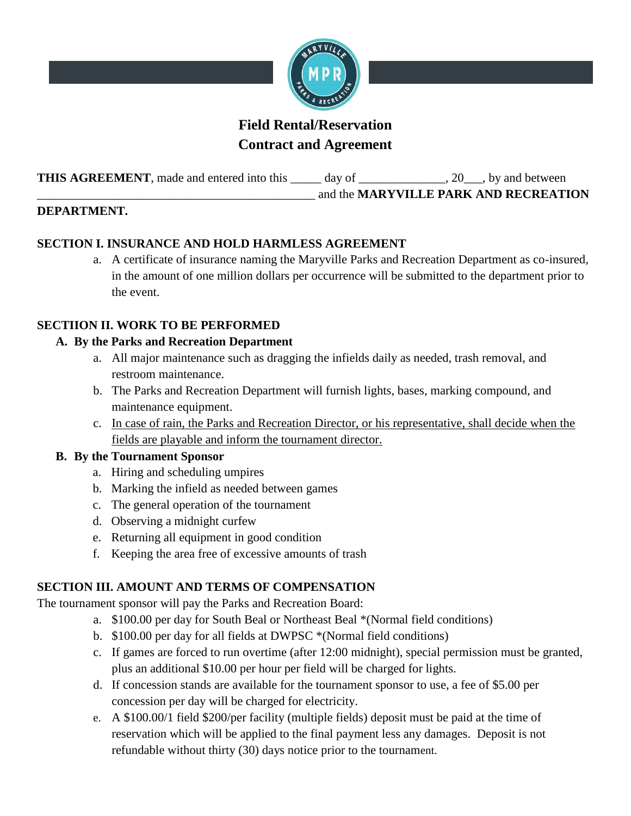

# **Field Rental/Reservation Contract and Agreement**

**THIS AGREEMENT**, made and entered into this \_\_\_\_\_ day of \_\_\_\_\_\_\_\_\_\_\_\_, 20\_\_\_, by and between

\_\_\_\_\_\_\_\_\_\_\_\_\_\_\_\_\_\_\_\_\_\_\_\_\_\_\_\_\_\_\_\_\_\_\_\_\_\_\_\_\_\_\_\_\_ and the **MARYVILLE PARK AND RECREATION** 

### **DEPARTMENT.**

# **SECTION I. INSURANCE AND HOLD HARMLESS AGREEMENT**

a. A certificate of insurance naming the Maryville Parks and Recreation Department as co-insured, in the amount of one million dollars per occurrence will be submitted to the department prior to the event.

# **SECTIION II. WORK TO BE PERFORMED**

### **A. By the Parks and Recreation Department**

- a. All major maintenance such as dragging the infields daily as needed, trash removal, and restroom maintenance.
- b. The Parks and Recreation Department will furnish lights, bases, marking compound, and maintenance equipment.
- c. In case of rain, the Parks and Recreation Director, or his representative, shall decide when the fields are playable and inform the tournament director.

#### **B. By the Tournament Sponsor**

- a. Hiring and scheduling umpires
- b. Marking the infield as needed between games
- c. The general operation of the tournament
- d. Observing a midnight curfew
- e. Returning all equipment in good condition
- f. Keeping the area free of excessive amounts of trash

# **SECTION III. AMOUNT AND TERMS OF COMPENSATION**

The tournament sponsor will pay the Parks and Recreation Board:

- a. \$100.00 per day for South Beal or Northeast Beal \*(Normal field conditions)
- b. \$100.00 per day for all fields at DWPSC \*(Normal field conditions)
- c. If games are forced to run overtime (after 12:00 midnight), special permission must be granted, plus an additional \$10.00 per hour per field will be charged for lights.
- d. If concession stands are available for the tournament sponsor to use, a fee of \$5.00 per concession per day will be charged for electricity.
- e. A \$100.00/1 field \$200/per facility (multiple fields) deposit must be paid at the time of reservation which will be applied to the final payment less any damages. Deposit is not refundable without thirty (30) days notice prior to the tournament.